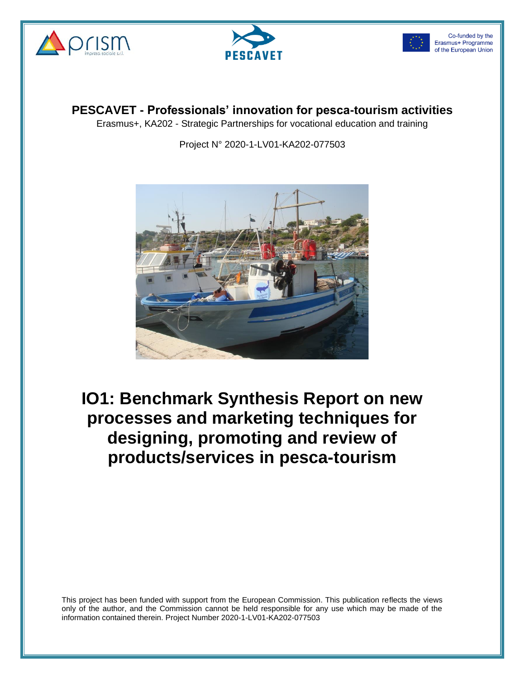





**PESCAVET - Professionals' innovation for pesca-tourism activities**

Erasmus+, KA202 - Strategic Partnerships for vocational education and training

Project N° 2020-1-LV01-KA202-077503



**IO1: Benchmark Synthesis Report on new processes and marketing techniques for designing, promoting and review of products/services in pesca-tourism**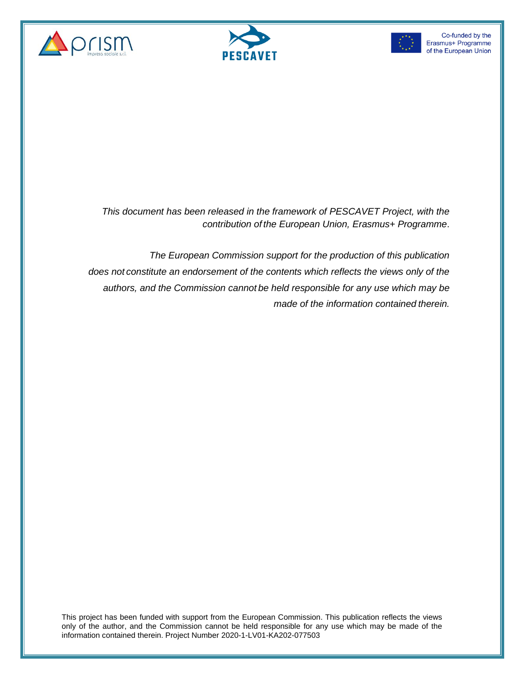





*This document has been released in the framework of PESCAVET Project, with the contribution of the European Union, Erasmus+ Programme*.

*The European Commission support for the production of this publication does not constitute an endorsement of the contents which reflects the views only of the authors, and the Commission cannot be held responsible for any use which may be made of the information contained therein.*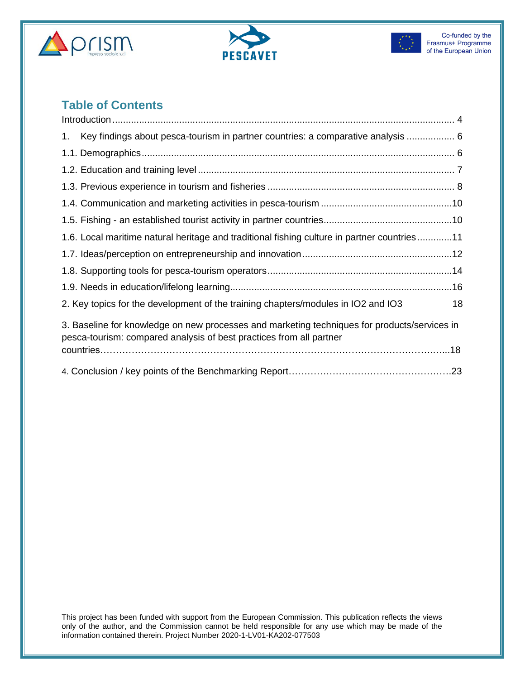





#### **Table of Contents**

| Key findings about pesca-tourism in partner countries: a comparative analysis  6<br>1.                                                                              |    |
|---------------------------------------------------------------------------------------------------------------------------------------------------------------------|----|
|                                                                                                                                                                     |    |
|                                                                                                                                                                     |    |
|                                                                                                                                                                     |    |
|                                                                                                                                                                     |    |
|                                                                                                                                                                     |    |
| 1.6. Local maritime natural heritage and traditional fishing culture in partner countries11                                                                         |    |
|                                                                                                                                                                     |    |
|                                                                                                                                                                     |    |
|                                                                                                                                                                     |    |
| 2. Key topics for the development of the training chapters/modules in IO2 and IO3                                                                                   | 18 |
| 3. Baseline for knowledge on new processes and marketing techniques for products/services in<br>pesca-tourism: compared analysis of best practices from all partner |    |
|                                                                                                                                                                     |    |
|                                                                                                                                                                     |    |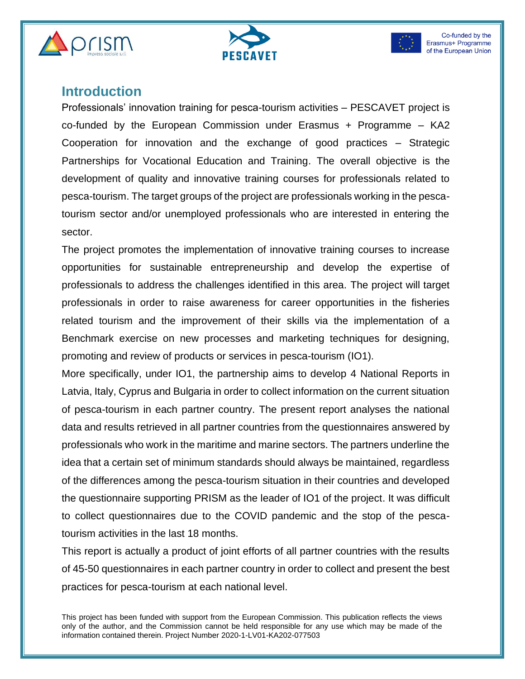





#### **Introduction**

Professionals' innovation training for pesca-tourism activities – PESCAVET project is co-funded by the European Commission under Erasmus  $+$  Programme  $-$  KA2 Cooperation for innovation and the exchange of good practices – Strategic Partnerships for Vocational Education and Training. The overall objective is the development of quality and innovative training courses for professionals related to pesca-tourism. The target groups of the project are professionals working in the pescatourism sector and/or unemployed professionals who are interested in entering the sector.

The project promotes the implementation of innovative training courses to increase opportunities for sustainable entrepreneurship and develop the expertise of professionals to address the challenges identified in this area. The project will target professionals in order to raise awareness for career opportunities in the fisheries related tourism and the improvement of their skills via the implementation of a Benchmark exercise on new processes and marketing techniques for designing, promoting and review of products or services in pesca-tourism (IO1).

More specifically, under IO1, the partnership aims to develop 4 National Reports in Latvia, Italy, Cyprus and Bulgaria in order to collect information on the current situation of pesca-tourism in each partner country. The present report analyses the national data and results retrieved in all partner countries from the questionnaires answered by professionals who work in the maritime and marine sectors. The partners underline the idea that a certain set of minimum standards should always be maintained, regardless of the differences among the pesca-tourism situation in their countries and developed the questionnaire supporting PRISM as the leader of IO1 of the project. It was difficult to collect questionnaires due to the COVID pandemic and the stop of the pescatourism activities in the last 18 months.

This report is actually a product of joint efforts of all partner countries with the results of 45-50 questionnaires in each partner country in order to collect and present the best practices for pesca-tourism at each national level.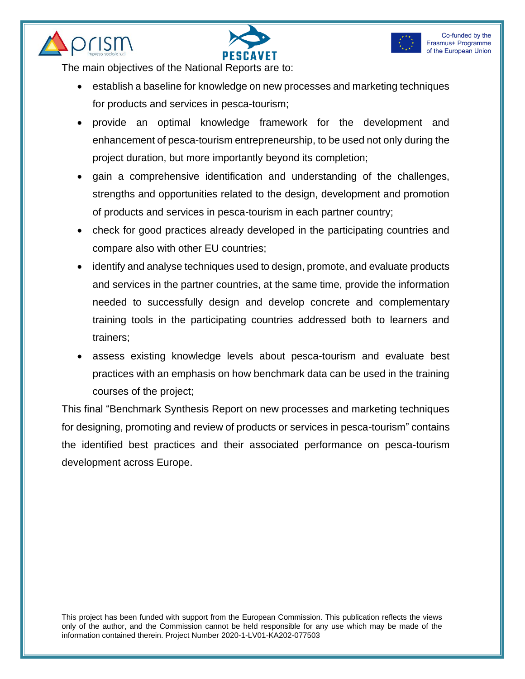





The main objectives of the National Reports are to:

- establish a baseline for knowledge on new processes and marketing techniques for products and services in pesca-tourism;
- provide an optimal knowledge framework for the development and enhancement of pesca-tourism entrepreneurship, to be used not only during the project duration, but more importantly beyond its completion;
- gain a comprehensive identification and understanding of the challenges, strengths and opportunities related to the design, development and promotion of products and services in pesca-tourism in each partner country;
- check for good practices already developed in the participating countries and compare also with other EU countries;
- identify and analyse techniques used to design, promote, and evaluate products and services in the partner countries, at the same time, provide the information needed to successfully design and develop concrete and complementary training tools in the participating countries addressed both to learners and trainers;
- assess existing knowledge levels about pesca-tourism and evaluate best practices with an emphasis on how benchmark data can be used in the training courses of the project;

This final "Benchmark Synthesis Report on new processes and marketing techniques for designing, promoting and review of products or services in pesca-tourism" contains the identified best practices and their associated performance on pesca-tourism development across Europe.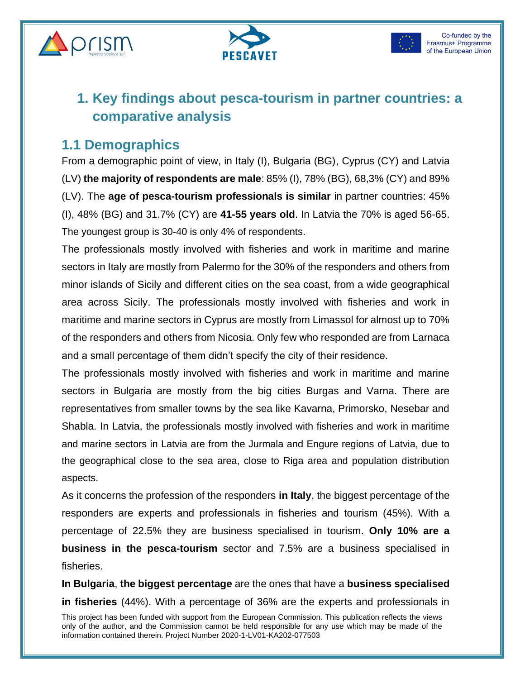





# **1. Key findings about pesca-tourism in partner countries: a comparative analysis**

### **1.1 Demographics**

From a demographic point of view, in Italy (I), Bulgaria (BG), Cyprus (CY) and Latvia (LV) **the majority of respondents are male**: 85% (I), 78% (BG), 68,3% (CY) and 89% (LV). The **age of pesca-tourism professionals is similar** in partner countries: 45% (I), 48% (BG) and 31.7% (CY) are **41-55 years old**. In Latvia the 70% is aged 56-65. The youngest group is 30-40 is only 4% of respondents.

The professionals mostly involved with fisheries and work in maritime and marine sectors in Italy are mostly from Palermo for the 30% of the responders and others from minor islands of Sicily and different cities on the sea coast, from a wide geographical area across Sicily. The professionals mostly involved with fisheries and work in maritime and marine sectors in Cyprus are mostly from Limassol for almost up to 70% of the responders and others from Nicosia. Only few who responded are from Larnaca and a small percentage of them didn't specify the city of their residence.

The professionals mostly involved with fisheries and work in maritime and marine sectors in Bulgaria are mostly from the big cities Burgas and Varna. There are representatives from smaller towns by the sea like Kavarna, Primorsko, Nesebar and Shabla. In Latvia, the professionals mostly involved with fisheries and work in maritime and marine sectors in Latvia are from the Jurmala and Engure regions of Latvia, due to the geographical close to the sea area, close to Riga area and population distribution aspects.

As it concerns the profession of the responders **in Italy**, the biggest percentage of the responders are experts and professionals in fisheries and tourism (45%). With a percentage of 22.5% they are business specialised in tourism. **Only 10% are a business in the pesca-tourism** sector and 7.5% are a business specialised in fisheries.

**In Bulgaria**, **the biggest percentage** are the ones that have a **business specialised in fisheries** (44%). With a percentage of 36% are the experts and professionals in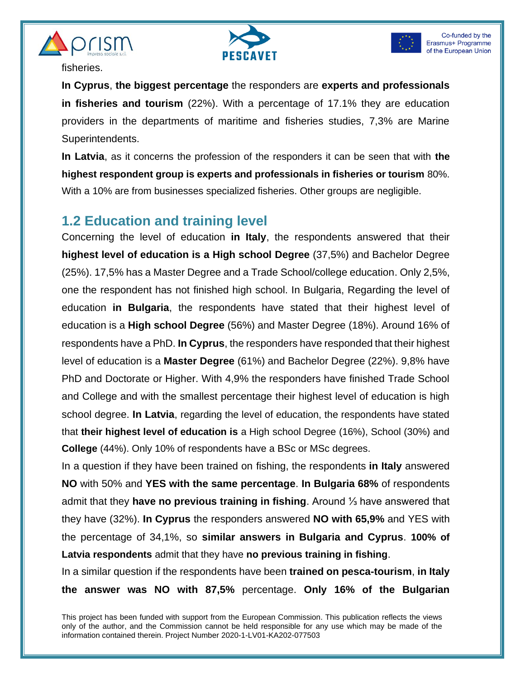





fisheries.

**In Cyprus**, **the biggest percentage** the responders are **experts and professionals in fisheries and tourism** (22%). With a percentage of 17.1% they are education providers in the departments of maritime and fisheries studies, 7,3% are Marine Superintendents.

**In Latvia**, as it concerns the profession of the responders it can be seen that with **the highest respondent group is experts and professionals in fisheries or tourism** 80%. With a 10% are from businesses specialized fisheries. Other groups are negligible.

#### **1.2 Education and training level**

Concerning the level of education **in Italy**, the respondents answered that their **highest level of education is a High school Degree** (37,5%) and Bachelor Degree (25%). 17,5% has a Master Degree and a Trade School/college education. Only 2,5%, one the respondent has not finished high school. In Bulgaria, Regarding the level of education **in Bulgaria**, the respondents have stated that their highest level of education is a **High school Degree** (56%) and Master Degree (18%). Around 16% of respondents have a PhD. **In Cyprus**, the responders have responded that their highest level of education is a **Master Degree** (61%) and Bachelor Degree (22%). 9,8% have PhD and Doctorate or Higher. With 4,9% the responders have finished Trade School and College and with the smallest percentage their highest level of education is high school degree. **In Latvia**, regarding the level of education, the respondents have stated that **their highest level of education is** a High school Degree (16%), School (30%) and **College** (44%). Only 10% of respondents have a BSc or MSc degrees.

In a question if they have been trained on fishing, the respondents **in Italy** answered **NO** with 50% and **YES with the same percentage**. **In Bulgaria 68%** of respondents admit that they **have no previous training in fishing**. Around ⅓ have answered that they have (32%). **In Cyprus** the responders answered **NO with 65,9%** and YES with the percentage of 34,1%, so **similar answers in Bulgaria and Cyprus**. **100% of Latvia respondents** admit that they have **no previous training in fishing**.

In a similar question if the respondents have been **trained on pesca-tourism**, **in Italy the answer was NO with 87,5%** percentage. **Only 16% of the Bulgarian**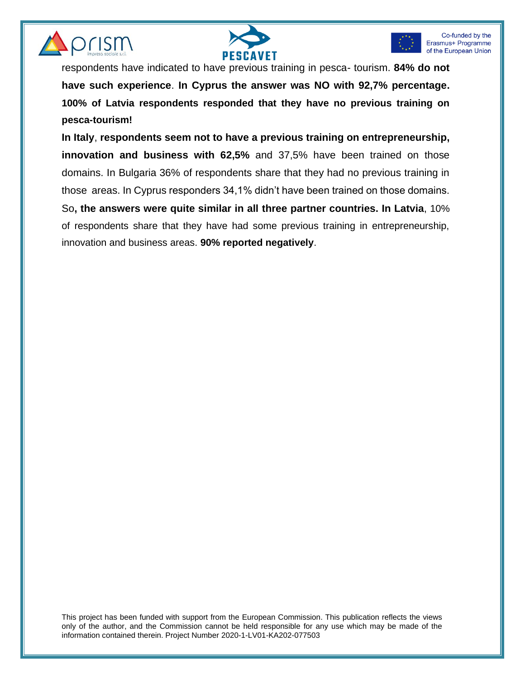





respondents have indicated to have previous training in pesca- tourism. **84% do not have such experience**. **In Cyprus the answer was NO with 92,7% percentage. 100% of Latvia respondents responded that they have no previous training on pesca-tourism!**

**In Italy**, **respondents seem not to have a previous training on entrepreneurship, innovation and business with 62,5%** and 37,5% have been trained on those domains. In Bulgaria 36% of respondents share that they had no previous training in those areas. In Cyprus responders 34,1% didn't have been trained on those domains. So**, the answers were quite similar in all three partner countries. In Latvia**, 10% of respondents share that they have had some previous training in entrepreneurship, innovation and business areas. **90% reported negatively**.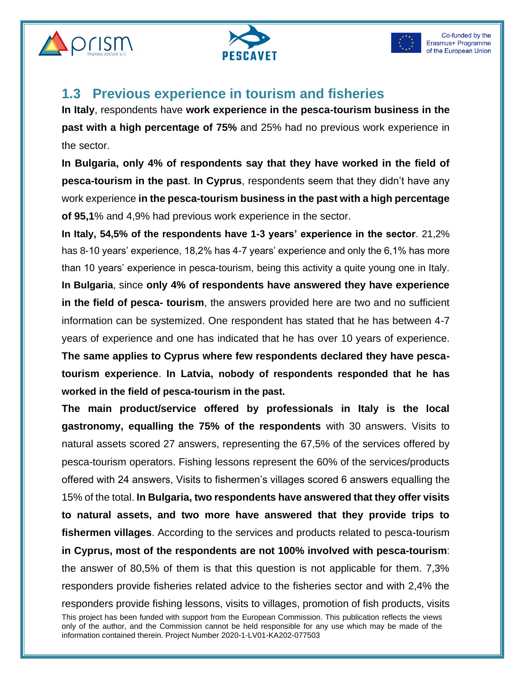





### **1.3 Previous experience in tourism and fisheries**

**In Italy**, respondents have **work experience in the pesca-tourism business in the past with a high percentage of 75%** and 25% had no previous work experience in the sector.

**In Bulgaria, only 4% of respondents say that they have worked in the field of pesca-tourism in the past**. **In Cyprus**, respondents seem that they didn't have any work experience **in the pesca-tourism business in the past with a high percentage of 95,1**% and 4,9% had previous work experience in the sector.

**In Italy, 54,5% of the respondents have 1-3 years' experience in the sector**. 21,2% has 8-10 years' experience, 18,2% has 4-7 years' experience and only the 6,1% has more than 10 years' experience in pesca-tourism, being this activity a quite young one in Italy. **In Bulgaria**, since **only 4% of respondents have answered they have experience in the field of pesca- tourism**, the answers provided here are two and no sufficient information can be systemized. One respondent has stated that he has between 4-7 years of experience and one has indicated that he has over 10 years of experience. **The same applies to Cyprus where few respondents declared they have pescatourism experience**. **In Latvia, nobody of respondents responded that he has worked in the field of pesca-tourism in the past.**

This project has been funded with support from the European Commission. This publication reflects the views only of the author, and the Commission cannot be held responsible for any use which may be made of the information contained therein. Project Number 2020-1-LV01-KA202-077503 **The main product/service offered by professionals in Italy is the local gastronomy, equalling the 75% of the respondents** with 30 answers. Visits to natural assets scored 27 answers, representing the 67,5% of the services offered by pesca-tourism operators. Fishing lessons represent the 60% of the services/products offered with 24 answers, Visits to fishermen's villages scored 6 answers equalling the 15% of the total. **In Bulgaria, two respondents have answered that they offer visits to natural assets, and two more have answered that they provide trips to fishermen villages**. According to the services and products related to pesca-tourism **in Cyprus, most of the respondents are not 100% involved with pesca-tourism**: the answer of 80,5% of them is that this question is not applicable for them. 7,3% responders provide fisheries related advice to the fisheries sector and with 2,4% the responders provide fishing lessons, visits to villages, promotion of fish products, visits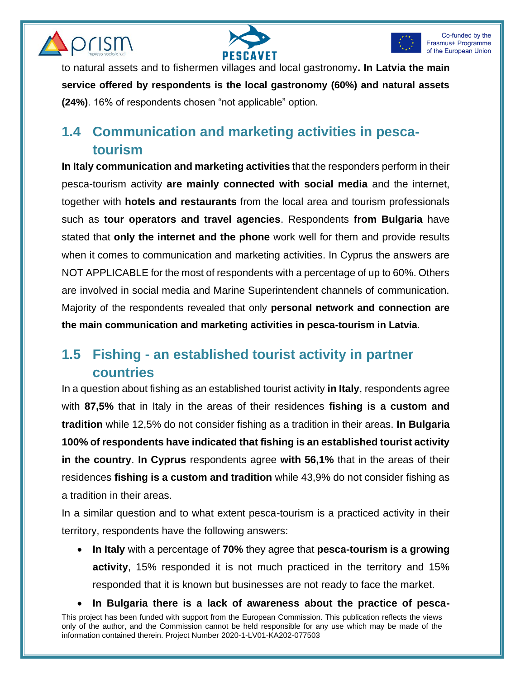





to natural assets and to fishermen villages and local gastronomy**. In Latvia the main service offered by respondents is the local gastronomy (60%) and natural assets (24%)**. 16% of respondents chosen "not applicable" option.

# **1.4 Communication and marketing activities in pescatourism**

**In Italy communication and marketing activities** that the responders perform in their pesca-tourism activity **are mainly connected with social media** and the internet, together with **hotels and restaurants** from the local area and tourism professionals such as **tour operators and travel agencies**. Respondents **from Bulgaria** have stated that **only the internet and the phone** work well for them and provide results when it comes to communication and marketing activities. In Cyprus the answers are NOT APPLICABLE for the most of respondents with a percentage of up to 60%. Others are involved in social media and Marine Superintendent channels of communication. Majority of the respondents revealed that only **personal network and connection are the main communication and marketing activities in pesca-tourism in Latvia**.

# **1.5 Fishing - an established tourist activity in partner countries**

In a question about fishing as an established tourist activity **in Italy**, respondents agree with **87,5%** that in Italy in the areas of their residences **fishing is a custom and tradition** while 12,5% do not consider fishing as a tradition in their areas. **In Bulgaria 100% of respondents have indicated that fishing is an established tourist activity in the country**. **In Cyprus** respondents agree **with 56,1%** that in the areas of their residences **fishing is a custom and tradition** while 43,9% do not consider fishing as a tradition in their areas.

In a similar question and to what extent pesca-tourism is a practiced activity in their territory, respondents have the following answers:

• **In Italy** with a percentage of **70%** they agree that **pesca-tourism is a growing activity**, 15% responded it is not much practiced in the territory and 15% responded that it is known but businesses are not ready to face the market.

This project has been funded with support from the European Commission. This publication reflects the views only of the author, and the Commission cannot be held responsible for any use which may be made of the information contained therein. Project Number 2020-1-LV01-KA202-077503 • **In Bulgaria there is a lack of awareness about the practice of pesca-**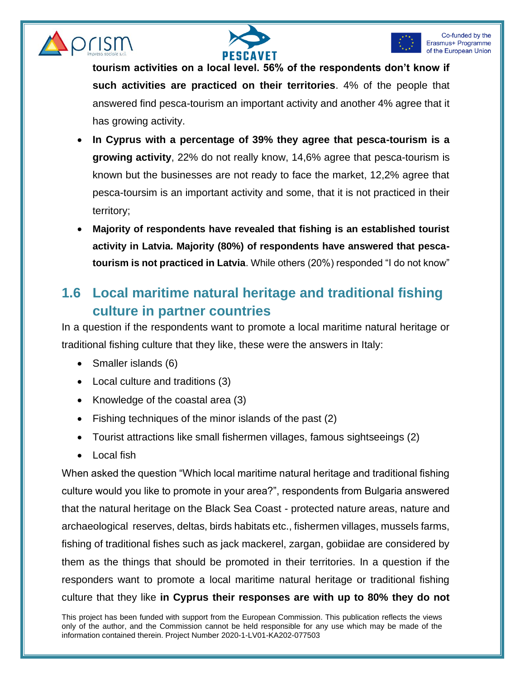





**tourism activities on a local level. 56% of the respondents don't know if such activities are practiced on their territories**. 4% of the people that answered find pesca-tourism an important activity and another 4% agree that it has growing activity.

- **In Cyprus with a percentage of 39% they agree that pesca-tourism is a growing activity**, 22% do not really know, 14,6% agree that pesca-tourism is known but the businesses are not ready to face the market, 12,2% agree that pesca-toursim is an important activity and some, that it is not practiced in their territory;
- **Majority of respondents have revealed that fishing is an established tourist activity in Latvia. Majority (80%) of respondents have answered that pescatourism is not practiced in Latvia**. While others (20%) responded "I do not know"

# **1.6 Local maritime natural heritage and traditional fishing culture in partner countries**

In a question if the respondents want to promote a local maritime natural heritage or traditional fishing culture that they like, these were the answers in Italy:

- Smaller islands (6)
- Local culture and traditions (3)
- Knowledge of the coastal area (3)
- Fishing techniques of the minor islands of the past (2)
- Tourist attractions like small fishermen villages, famous sightseeings (2)
- Local fish

When asked the question "Which local maritime natural heritage and traditional fishing culture would you like to promote in your area?", respondents from Bulgaria answered that the natural heritage on the Black Sea Coast - protected nature areas, nature and archaeological reserves, deltas, birds habitats etc., fishermen villages, mussels farms, fishing of traditional fishes such as jack mackerel, zargan, gobiidae are considered by them as the things that should be promoted in their territories. In a question if the responders want to promote a local maritime natural heritage or traditional fishing culture that they like **in Cyprus their responses are with up to 80% they do not**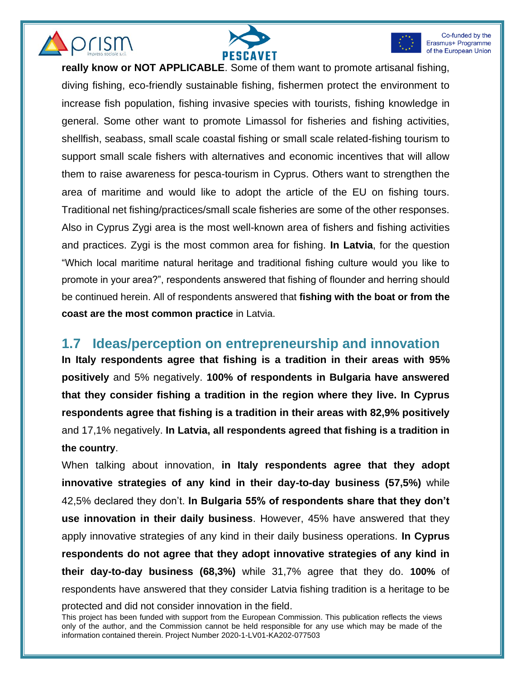





**really know or NOT APPLICABLE**. Some of them want to promote artisanal fishing, diving fishing, eco-friendly sustainable fishing, fishermen protect the environment to increase fish population, fishing invasive species with tourists, fishing knowledge in general. Some other want to promote Limassol for fisheries and fishing activities, shellfish, seabass, small scale coastal fishing or small scale related-fishing tourism to support small scale fishers with alternatives and economic incentives that will allow them to raise awareness for pesca-tourism in Cyprus. Others want to strengthen the area of maritime and would like to adopt the article of the EU on fishing tours. Traditional net fishing/practices/small scale fisheries are some of the other responses. Also in Cyprus Zygi area is the most well-known area of fishers and fishing activities and practices. Zygi is the most common area for fishing. **In Latvia**, for the question "Which local maritime natural heritage and traditional fishing culture would you like to promote in your area?", respondents answered that fishing of flounder and herring should be continued herein. All of respondents answered that **fishing with the boat or from the coast are the most common practice** in Latvia.

#### **1.7 Ideas/perception on entrepreneurship and innovation**

**In Italy respondents agree that fishing is a tradition in their areas with 95% positively** and 5% negatively. **100% of respondents in Bulgaria have answered that they consider fishing a tradition in the region where they live. In Cyprus respondents agree that fishing is a tradition in their areas with 82,9% positively** and 17,1% negatively. **In Latvia, all respondents agreed that fishing is a tradition in the country**.

When talking about innovation, **in Italy respondents agree that they adopt innovative strategies of any kind in their day-to-day business (57,5%)** while 42,5% declared they don't. **In Bulgaria 55% of respondents share that they don't use innovation in their daily business**. However, 45% have answered that they apply innovative strategies of any kind in their daily business operations. **In Cyprus respondents do not agree that they adopt innovative strategies of any kind in their day-to-day business (68,3%)** while 31,7% agree that they do. **100%** of respondents have answered that they consider Latvia fishing tradition is a heritage to be

protected and did not consider innovation in the field.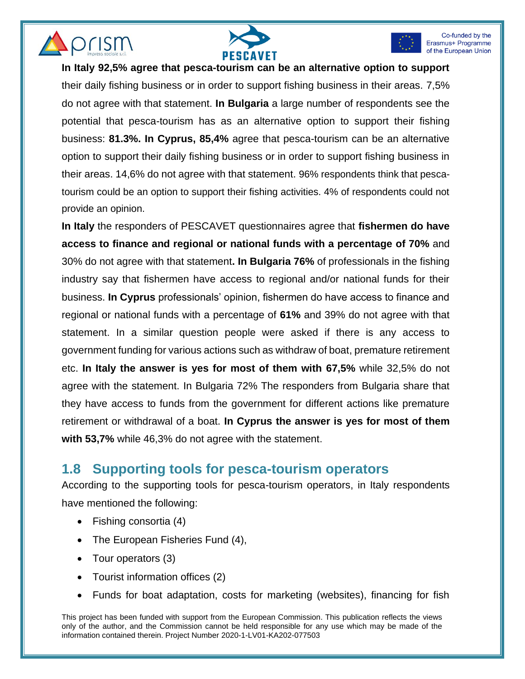





**In Italy 92,5% agree that pesca-tourism can be an alternative option to support**

their daily fishing business or in order to support fishing business in their areas. 7,5% do not agree with that statement. **In Bulgaria** a large number of respondents see the potential that pesca-tourism has as an alternative option to support their fishing business: **81.3%. In Cyprus, 85,4%** agree that pesca-tourism can be an alternative option to support their daily fishing business or in order to support fishing business in their areas. 14,6% do not agree with that statement. 96% respondents think that pescatourism could be an option to support their fishing activities. 4% of respondents could not provide an opinion.

**In Italy** the responders of PESCAVET questionnaires agree that **fishermen do have access to finance and regional or national funds with a percentage of 70%** and 30% do not agree with that statement**. In Bulgaria 76%** of professionals in the fishing industry say that fishermen have access to regional and/or national funds for their business. **In Cyprus** professionals' opinion, fishermen do have access to finance and regional or national funds with a percentage of **61%** and 39% do not agree with that statement. In a similar question people were asked if there is any access to government funding for various actions such as withdraw of boat, premature retirement etc. **In Italy the answer is yes for most of them with 67,5%** while 32,5% do not agree with the statement. In Bulgaria 72% The responders from Bulgaria share that they have access to funds from the government for different actions like premature retirement or withdrawal of a boat. **In Cyprus the answer is yes for most of them with 53,7%** while 46,3% do not agree with the statement.

#### **1.8 Supporting tools for pesca-tourism operators**

According to the supporting tools for pesca-tourism operators, in Italy respondents have mentioned the following:

- Fishing consortia (4)
- The European Fisheries Fund (4),
- Tour operators (3)
- Tourist information offices (2)
- Funds for boat adaptation, costs for marketing (websites), financing for fish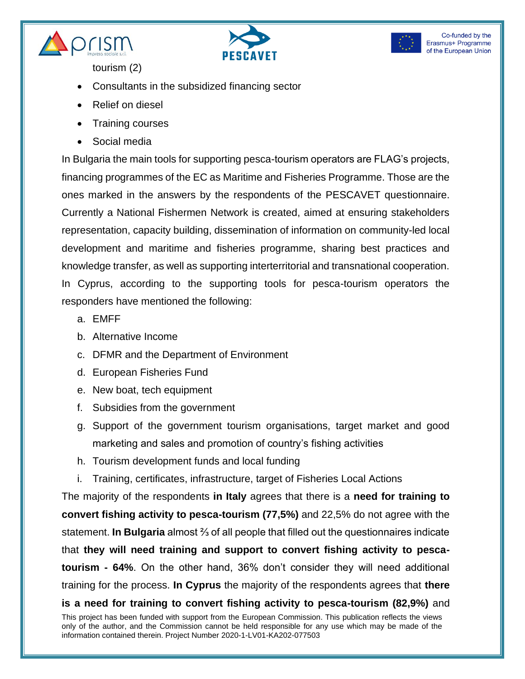





tourism (2)

- Consultants in the subsidized financing sector
- Relief on diesel
- Training courses
- Social media

In Bulgaria the main tools for supporting pesca-tourism operators are FLAG's projects, financing programmes of the EC as Maritime and Fisheries Programme. Those are the ones marked in the answers by the respondents of the PESCAVET questionnaire. Currently a National Fishermen Network is created, aimed at ensuring stakeholders representation, capacity building, dissemination of information on community-led local development and maritime and fisheries programme, sharing best practices and knowledge transfer, as well as supporting interterritorial and transnational cooperation. In Cyprus, according to the supporting tools for pesca-tourism operators the responders have mentioned the following:

- a. EMFF
- b. Alternative Income
- c. DFMR and the Department of Environment
- d. European Fisheries Fund
- e. New boat, tech equipment
- f. Subsidies from the government
- g. Support of the government tourism organisations, target market and good marketing and sales and promotion of country's fishing activities
- h. Tourism development funds and local funding
- i. Training, certificates, infrastructure, target of Fisheries Local Actions

The majority of the respondents **in Italy** agrees that there is a **need for training to convert fishing activity to pesca-tourism (77,5%)** and 22,5% do not agree with the statement. **In Bulgaria** almost ⅔ of all people that filled out the questionnaires indicate that **they will need training and support to convert fishing activity to pescatourism - 64%**. On the other hand, 36% don't consider they will need additional training for the process. **In Cyprus** the majority of the respondents agrees that **there is a need for training to convert fishing activity to pesca-tourism (82,9%)** and

This project has been funded with support from the European Commission. This publication reflects the views only of the author, and the Commission cannot be held responsible for any use which may be made of the information contained therein. Project Number 2020-1-LV01-KA202-077503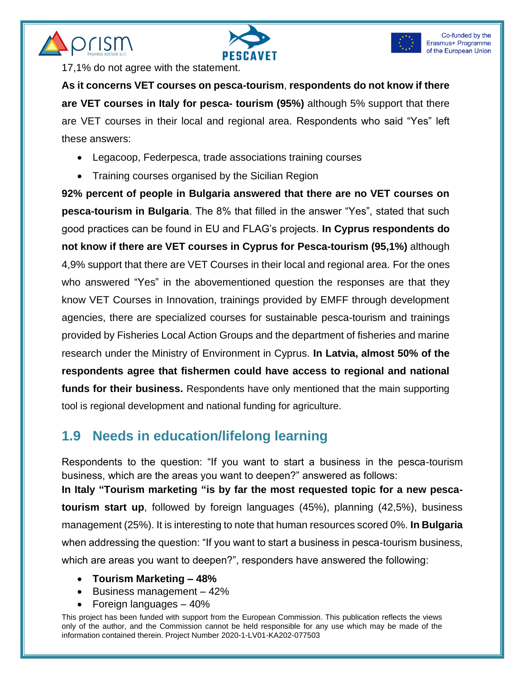





17,1% do not agree with the statement.

**As it concerns VET courses on pesca-tourism**, **respondents do not know if there are VET courses in Italy for pesca- tourism (95%)** although 5% support that there are VET courses in their local and regional area. Respondents who said "Yes" left these answers:

- Legacoop, Federpesca, trade associations training courses
- Training courses organised by the Sicilian Region

**92% percent of people in Bulgaria answered that there are no VET courses on pesca-tourism in Bulgaria**. The 8% that filled in the answer "Yes", stated that such good practices can be found in EU and FLAG's projects. **In Cyprus respondents do not know if there are VET courses in Cyprus for Pesca-tourism (95,1%)** although 4,9% support that there are VET Courses in their local and regional area. For the ones who answered "Yes" in the abovementioned question the responses are that they know VET Courses in Innovation, trainings provided by EMFF through development agencies, there are specialized courses for sustainable pesca-tourism and trainings provided by Fisheries Local Action Groups and the department of fisheries and marine research under the Ministry of Environment in Cyprus. **In Latvia, almost 50% of the respondents agree that fishermen could have access to regional and national funds for their business.** Respondents have only mentioned that the main supporting tool is regional development and national funding for agriculture.

# **1.9 Needs in education/lifelong learning**

Respondents to the question: "If you want to start a business in the pesca-tourism business, which are the areas you want to deepen?" answered as follows: **In Italy "Tourism marketing "is by far the most requested topic for a new pescatourism start up**, followed by foreign languages (45%), planning (42,5%), business management (25%). It is interesting to note that human resources scored 0%. **In Bulgaria**  when addressing the question: "If you want to start a business in pesca-tourism business, which are areas you want to deepen?", responders have answered the following:

- **Tourism Marketing – 48%**
- Business management 42%
- Foreign languages  $-40%$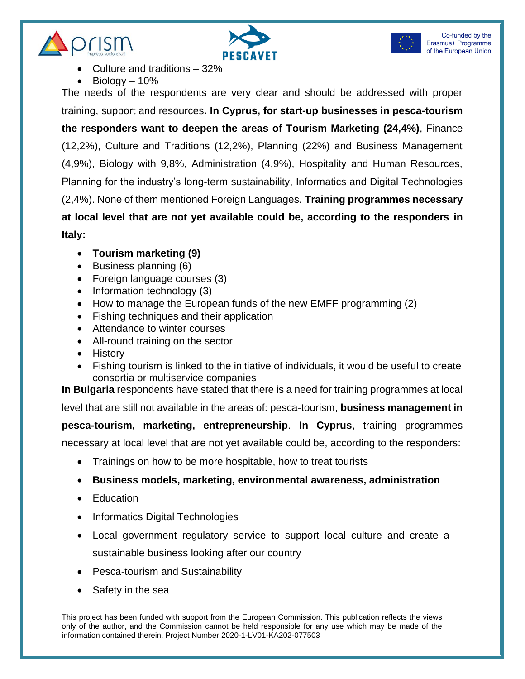





- Culture and traditions 32%
- $Bioloqv 10%$

The needs of the respondents are very clear and should be addressed with proper training, support and resources**. In Cyprus, for start-up businesses in pesca-tourism the responders want to deepen the areas of Tourism Marketing (24,4%)**, Finance (12,2%), Culture and Traditions (12,2%), Planning (22%) and Business Management (4,9%), Biology with 9,8%, Administration (4,9%), Hospitality and Human Resources, Planning for the industry's long-term sustainability, Informatics and Digital Technologies (2,4%). None of them mentioned Foreign Languages. **Training programmes necessary at local level that are not yet available could be, according to the responders in Italy:**

- **Tourism marketing (9)**
- Business planning (6)
- Foreign language courses (3)
- Information technology (3)
- How to manage the European funds of the new EMFF programming (2)
- Fishing techniques and their application
- Attendance to winter courses
- All-round training on the sector
- History
- Fishing tourism is linked to the initiative of individuals, it would be useful to create consortia or multiservice companies

**In Bulgaria** respondents have stated that there is a need for training programmes at local

level that are still not available in the areas of: pesca-tourism, **business management in pesca-tourism, marketing, entrepreneurship**. **In Cyprus**, training programmes necessary at local level that are not yet available could be, according to the responders:

- Trainings on how to be more hospitable, how to treat tourists
- **Business models, marketing, environmental awareness, administration**
- Education
- Informatics Digital Technologies
- Local government regulatory service to support local culture and create a sustainable business looking after our country
- Pesca-tourism and Sustainability
- Safety in the sea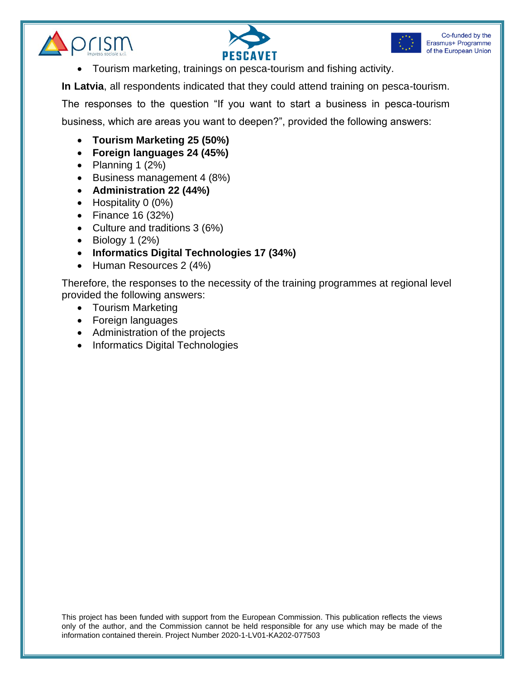





• Tourism marketing, trainings on pesca-tourism and fishing activity.

**In Latvia**, all respondents indicated that they could attend training on pesca-tourism.

The responses to the question "If you want to start a business in pesca-tourism

business, which are areas you want to deepen?", provided the following answers:

- **Tourism Marketing 25 (50%)**
- **Foreign languages 24 (45%)**
- Planning  $1 (2%)$
- Business management 4 (8%)
- **Administration 22 (44%)**
- Hospitality 0 (0%)
- Finance 16 (32%)
- Culture and traditions 3 (6%)
- Biology 1  $(2%)$
- **Informatics Digital Technologies 17 (34%)**
- Human Resources 2 (4%)

Therefore, the responses to the necessity of the training programmes at regional level provided the following answers:

- Tourism Marketing
- Foreign languages
- Administration of the projects
- Informatics Digital Technologies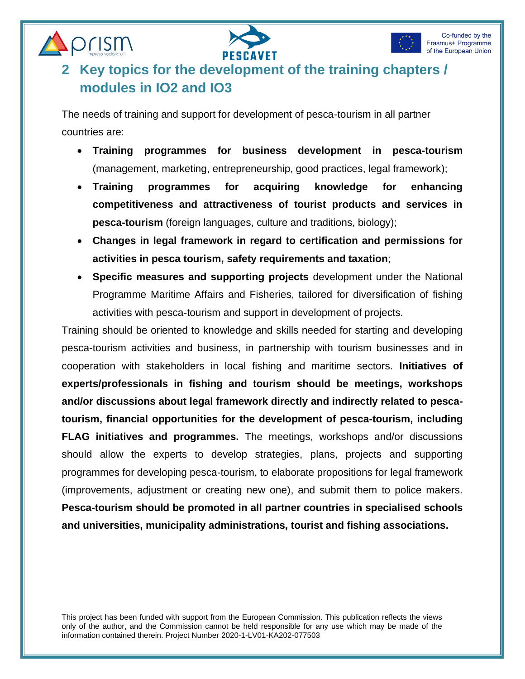



prism

# **2 Key topics for the development of the training chapters / modules in IO2 and IO3**

The needs of training and support for development of pesca-tourism in all partner countries are:

- **Training programmes for business development in pesca-tourism** (management, marketing, entrepreneurship, good practices, legal framework);
- **Training programmes for acquiring knowledge for enhancing competitiveness and attractiveness of tourist products and services in pesca-tourism** (foreign languages, culture and traditions, biology);
- **Changes in legal framework in regard to certification and permissions for activities in pesca tourism, safety requirements and taxation**;
- **Specific measures and supporting projects** development under the National Programme Maritime Affairs and Fisheries, tailored for diversification of fishing activities with pesca-tourism and support in development of projects.

Training should be oriented to knowledge and skills needed for starting and developing pesca-tourism activities and business, in partnership with tourism businesses and in cooperation with stakeholders in local fishing and maritime sectors. **Initiatives of experts/professionals in fishing and tourism should be meetings, workshops and/or discussions about legal framework directly and indirectly related to pescatourism, financial opportunities for the development of pesca-tourism, including FLAG initiatives and programmes.** The meetings, workshops and/or discussions should allow the experts to develop strategies, plans, projects and supporting programmes for developing pesca-tourism, to elaborate propositions for legal framework (improvements, adjustment or creating new one), and submit them to police makers. **Pesca-tourism should be promoted in all partner countries in specialised schools and universities, municipality administrations, tourist and fishing associations.**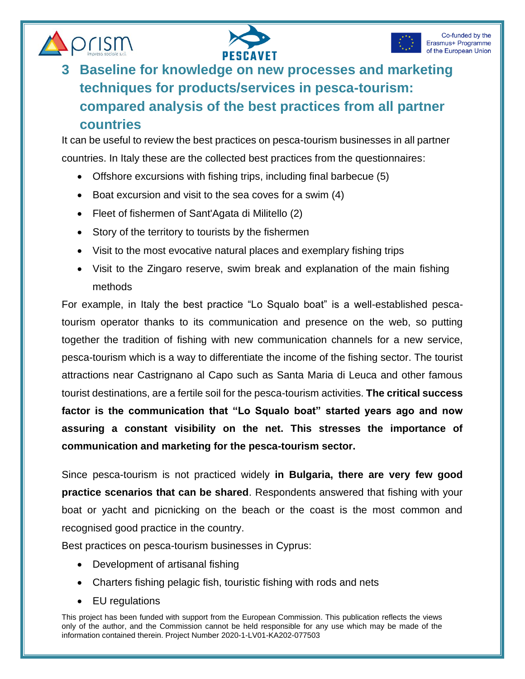





# **3 Baseline for knowledge on new processes and marketing techniques for products/services in pesca-tourism: compared analysis of the best practices from all partner countries**

It can be useful to review the best practices on pesca-tourism businesses in all partner countries. In Italy these are the collected best practices from the questionnaires:

- Offshore excursions with fishing trips, including final barbecue (5)
- Boat excursion and visit to the sea coves for a swim (4)
- Fleet of fishermen of Sant'Agata di Militello (2)
- Story of the territory to tourists by the fishermen
- Visit to the most evocative natural places and exemplary fishing trips
- Visit to the Zingaro reserve, swim break and explanation of the main fishing methods

For example, in Italy the best practice "Lo Squalo boat" is a well-established pescatourism operator thanks to its communication and presence on the web, so putting together the tradition of fishing with new communication channels for a new service, pesca-tourism which is a way to differentiate the income of the fishing sector. The tourist attractions near Castrignano al Capo such as Santa Maria di Leuca and other famous tourist destinations, are a fertile soil for the pesca-tourism activities. **The critical success factor is the communication that "Lo Squalo boat" started years ago and now assuring a constant visibility on the net. This stresses the importance of communication and marketing for the pesca-tourism sector.**

Since pesca-tourism is not practiced widely **in Bulgaria, there are very few good practice scenarios that can be shared**. Respondents answered that fishing with your boat or yacht and picnicking on the beach or the coast is the most common and recognised good practice in the country.

Best practices on pesca-tourism businesses in Cyprus:

- Development of artisanal fishing
- Charters fishing pelagic fish, touristic fishing with rods and nets
- EU regulations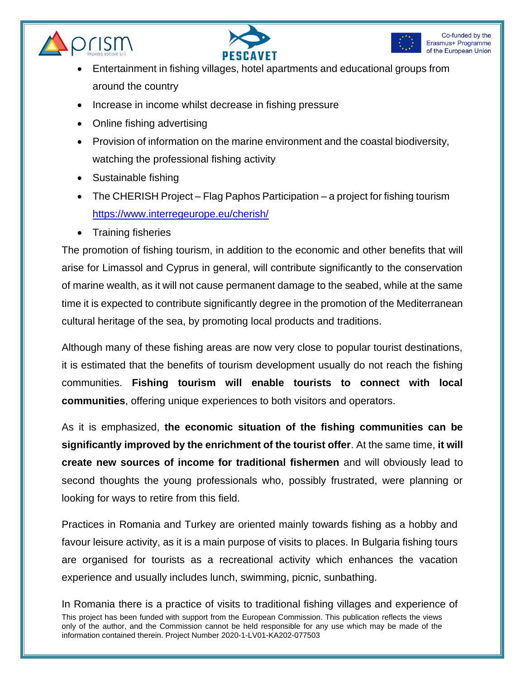





- Entertainment in fishing villages, hotel apartments and educational groups from around the country
- Increase in income whilst decrease in fishing pressure
- Online fishing advertising
- Provision of information on the marine environment and the coastal biodiversity, watching the professional fishing activity
- Sustainable fishing
- The CHERISH Project Flag Paphos Participation a project for fishing tourism <https://www.interregeurope.eu/cherish/>
- Training fisheries

The promotion of fishing tourism, in addition to the economic and other benefits that will arise for Limassol and Cyprus in general, will contribute significantly to the conservation of marine wealth, as it will not cause permanent damage to the seabed, while at the same time it is expected to contribute significantly degree in the promotion of the Mediterranean cultural heritage of the sea, by promoting local products and traditions.

Although many of these fishing areas are now very close to popular tourist destinations, it is estimated that the benefits of tourism development usually do not reach the fishing communities. **Fishing tourism will enable tourists to connect with local communities**, offering unique experiences to both visitors and operators.

As it is emphasized, **the economic situation of the fishing communities can be significantly improved by the enrichment of the tourist offer**. At the same time, **it will create new sources of income for traditional fishermen** and will obviously lead to second thoughts the young professionals who, possibly frustrated, were planning or looking for ways to retire from this field.

Practices in Romania and Turkey are oriented mainly towards fishing as a hobby and favour leisure activity, as it is a main purpose of visits to places. In Bulgaria fishing tours are organised for tourists as a recreational activity which enhances the vacation experience and usually includes lunch, swimming, picnic, sunbathing.

This project has been funded with support from the European Commission. This publication reflects the views only of the author, and the Commission cannot be held responsible for any use which may be made of the information contained therein. Project Number 2020-1-LV01-KA202-077503 In Romania there is a practice of visits to traditional fishing villages and experience of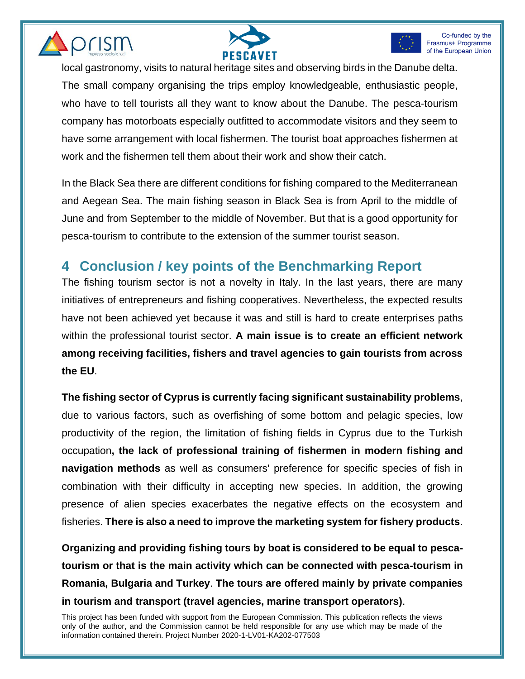





local gastronomy, visits to natural heritage sites and observing birds in the Danube delta. The small company organising the trips employ knowledgeable, enthusiastic people, who have to tell tourists all they want to know about the Danube. The pesca-tourism company has motorboats especially outfitted to accommodate visitors and they seem to have some arrangement with local fishermen. The tourist boat approaches fishermen at work and the fishermen tell them about their work and show their catch.

In the Black Sea there are different conditions for fishing compared to the Mediterranean and Aegean Sea. The main fishing season in Black Sea is from April to the middle of June and from September to the middle of November. But that is a good opportunity for pesca-tourism to contribute to the extension of the summer tourist season.

# **4 Conclusion / key points of the Benchmarking Report**

The fishing tourism sector is not a novelty in Italy. In the last years, there are many initiatives of entrepreneurs and fishing cooperatives. Nevertheless, the expected results have not been achieved yet because it was and still is hard to create enterprises paths within the professional tourist sector. **A main issue is to create an efficient network among receiving facilities, fishers and travel agencies to gain tourists from across the EU**.

**The fishing sector of Cyprus is currently facing significant sustainability problems**, due to various factors, such as overfishing of some bottom and pelagic species, low productivity of the region, the limitation of fishing fields in Cyprus due to the Turkish occupation**, the lack of professional training of fishermen in modern fishing and navigation methods** as well as consumers' preference for specific species of fish in combination with their difficulty in accepting new species. In addition, the growing presence of alien species exacerbates the negative effects on the ecosystem and fisheries. **There is also a need to improve the marketing system for fishery products**.

**Organizing and providing fishing tours by boat is considered to be equal to pescatourism or that is the main activity which can be connected with pesca-tourism in Romania, Bulgaria and Turkey**. **The tours are offered mainly by private companies in tourism and transport (travel agencies, marine transport operators)**.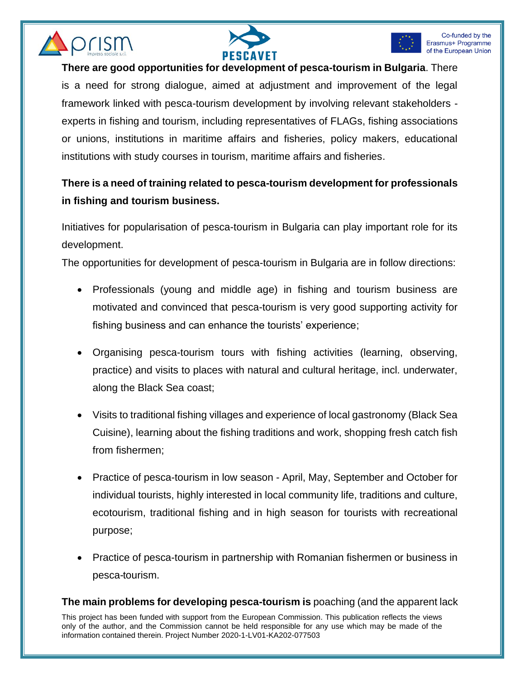





**There are good opportunities for development of pesca-tourism in Bulgaria**. There is a need for strong dialogue, aimed at adjustment and improvement of the legal framework linked with pesca-tourism development by involving relevant stakeholders experts in fishing and tourism, including representatives of FLAGs, fishing associations or unions, institutions in maritime affairs and fisheries, policy makers, educational institutions with study courses in tourism, maritime affairs and fisheries.

#### **There is a need of training related to pesca-tourism development for professionals in fishing and tourism business.**

Initiatives for popularisation of pesca-tourism in Bulgaria can play important role for its development.

The opportunities for development of pesca-tourism in Bulgaria are in follow directions:

- Professionals (young and middle age) in fishing and tourism business are motivated and convinced that pesca-tourism is very good supporting activity for fishing business and can enhance the tourists' experience;
- Organising pesca-tourism tours with fishing activities (learning, observing, practice) and visits to places with natural and cultural heritage, incl. underwater, along the Black Sea coast;
- Visits to traditional fishing villages and experience of local gastronomy (Black Sea Cuisine), learning about the fishing traditions and work, shopping fresh catch fish from fishermen;
- Practice of pesca-tourism in low season April, May, September and October for individual tourists, highly interested in local community life, traditions and culture, ecotourism, traditional fishing and in high season for tourists with recreational purpose;
- Practice of pesca-tourism in partnership with Romanian fishermen or business in pesca-tourism.

#### **The main problems for developing pesca-tourism is** poaching (and the apparent lack